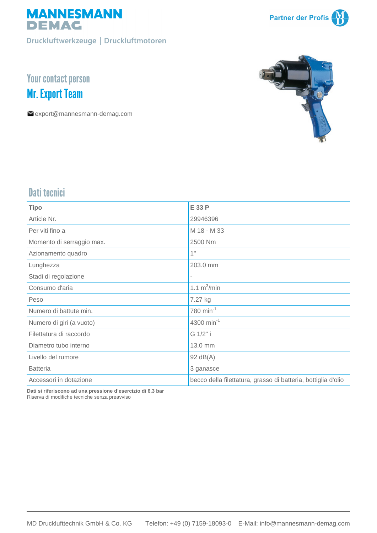

Druckluftwerkzeuge | Druckluftmotoren



# Your contact person **Mr. Export Team**

export@mannesmann-demag.com



### Dati tecnici

| <b>Tipo</b>               | E 33 P                                                        |
|---------------------------|---------------------------------------------------------------|
| Article Nr.               | 29946396                                                      |
| Per viti fino a           | M 18 - M 33                                                   |
| Momento di serraggio max. | 2500 Nm                                                       |
| Azionamento quadro        | 1"                                                            |
| Lunghezza                 | 203.0 mm                                                      |
| Stadi di regolazione      |                                                               |
| Consumo d'aria            | 1.1 $m^3/m$ in                                                |
| Peso                      | 7.27 kg                                                       |
| Numero di battute min.    | 780 min <sup>-1</sup>                                         |
| Numero di giri (a vuoto)  | 4300 min <sup>-1</sup>                                        |
| Filettatura di raccordo   | G 1/2" i                                                      |
| Diametro tubo interno     | 13.0 mm                                                       |
| Livello del rumore        | $92 \text{ dB}(A)$                                            |
| <b>Batteria</b>           | 3 ganasce                                                     |
| Accessori in dotazione    | becco della filettatura, grasso di batteria, bottiglia d'olio |
|                           |                                                               |

**Dati si riferiscono ad una pressione d'esercizio di 6.3 bar** Riserva di modifiche tecniche senza preavviso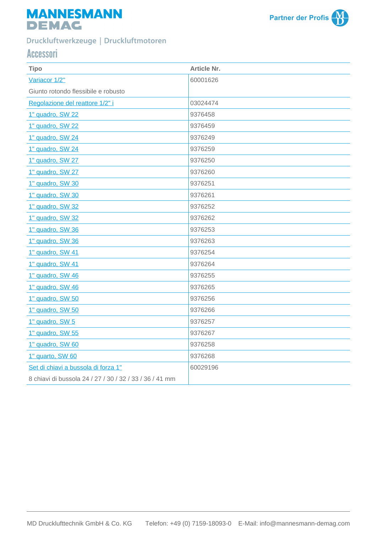## **MANNESMANN DEMAG**



### Druckluftwerkzeuge | Druckluftmotoren

### Accessori

| <b>Tipo</b>                                             | <b>Article Nr.</b> |
|---------------------------------------------------------|--------------------|
| Variacor 1/2"                                           | 60001626           |
| Giunto rotondo flessibile e robusto                     |                    |
| Regolazione del reattore 1/2" i                         | 03024474           |
| 1" quadro, SW 22                                        | 9376458            |
| 1" quadro, SW 22                                        | 9376459            |
| 1" quadro, SW 24                                        | 9376249            |
| 1" quadro, SW 24                                        | 9376259            |
| 1" quadro, SW 27                                        | 9376250            |
| 1" quadro, SW 27                                        | 9376260            |
| 1" quadro, SW 30                                        | 9376251            |
| 1" quadro, SW 30                                        | 9376261            |
| 1" quadro, SW 32                                        | 9376252            |
| 1" quadro, SW 32                                        | 9376262            |
| 1" quadro, SW 36                                        | 9376253            |
| 1" quadro, SW 36                                        | 9376263            |
| 1" quadro, SW 41                                        | 9376254            |
| 1" quadro, SW 41                                        | 9376264            |
| 1" quadro, SW 46                                        | 9376255            |
| 1" quadro, SW 46                                        | 9376265            |
| 1" quadro, SW 50                                        | 9376256            |
| 1" quadro, SW 50                                        | 9376266            |
| 1" quadro, SW 5                                         | 9376257            |
| 1" quadro, SW 55                                        | 9376267            |
| 1" quadro, SW 60                                        | 9376258            |
| 1" quarto, SW 60                                        | 9376268            |
| Set di chiavi a bussola di forza 1"                     | 60029196           |
| 8 chiavi di bussola 24 / 27 / 30 / 32 / 33 / 36 / 41 mm |                    |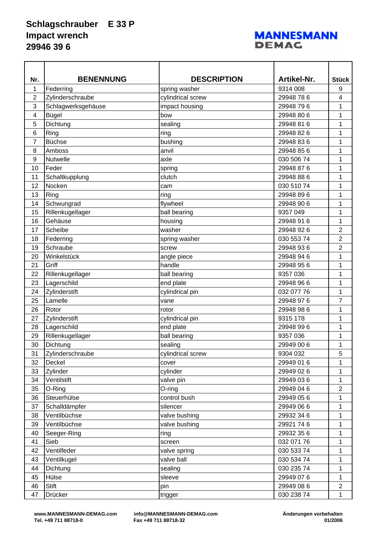#### **Schlagschrauber E 33 P Impact wrench 29946 39 6**

#### **MANNESMANN DEMAC**

| <b>BENENNUNG</b><br><b>DESCRIPTION</b><br>Artikel-Nr.<br><b>Stück</b><br>Nr.<br>1<br>9314 008<br>9<br>Federring<br>spring washer<br>$\overline{2}$<br>Zylinderschraube<br>cylindrical screw<br>29948786<br>4<br>3<br>Schlagwerksgehäuse<br>impact housing<br>29948 79 6<br>1<br>Bügel<br>bow<br>29948 80 6<br>1<br>4<br>5<br>Dichtung<br>1<br>29948 81 6<br>sealing<br>6<br>Ring<br>1<br>ring<br>29948 82 6<br>7<br><b>Büchse</b><br>bushing<br>29948 836<br>1<br>8<br>1<br>29948 856<br>Amboss<br>anvil<br>9<br>030 506 74<br>1<br><b>Nutwelle</b><br>axle<br>Feder<br>10<br>29948 876<br>spring<br>1<br>Schaltkupplung<br>1<br>11<br>clutch<br>29948 88 6<br>Nocken<br>1<br>12<br>030 510 74<br>cam<br>13<br>Ring<br>ring<br>29948 896<br>1<br>Schwungrad<br>14<br>flywheel<br>29948 90 6<br>1<br>Rillenkugellager<br>9357 049<br>1<br>15<br>ball bearing<br>Gehäuse<br>16<br>housing<br>1<br>29948 91 6<br>Scheibe<br>29948 92 6<br>2<br>17<br>washer<br>$\overline{2}$<br>18<br>030 553 74<br>Federring<br>spring washer<br>$\overline{2}$<br>Schraube<br>19<br>29948 936<br>screw<br>20<br>29948 94 6<br>1<br>Winkelstück<br>angle piece<br>Griff<br>handle<br>1<br>21<br>29948 956<br>22<br>Rillenkugellager<br>ball bearing<br>9357 036<br>1<br>23<br>Lagerschild<br>end plate<br>29948 96 6<br>1<br>1<br>Zylinderstift<br>24<br>cylindrical pin<br>032 077 76<br>25<br>Lamelle<br>7<br>29948 976<br>vane<br>26<br>29948 98 6<br>1<br>Rotor<br>rotor<br>27<br>Zylinderstift<br>cylindrical pin<br>9315 178<br>1<br>28<br>Lagerschild<br>1<br>end plate<br>29948 996<br>Rillenkugellager<br>ball bearing<br>29<br>9357 036<br>1<br>30<br>Dichtung<br>29949 00 6<br>1<br>sealing<br>5<br>Zylinderschraube<br>31<br>cylindrical screw<br>9304 032<br>29949 01 6<br>32<br>Deckel<br>1<br>cover<br>33<br>Zylinder<br>cylinder<br>29949 02 6<br>1<br>34<br>Ventilstift<br>valve pin<br>29949 036<br>1<br>$\overline{2}$<br>35<br>O-Ring<br>O-ring<br>29949 04 6<br>Steuerhülse<br>1<br>36<br>control bush<br>29949 05 6<br>37<br>Schalldämpfer<br>silencer<br>29949 06 6<br>1<br>38<br>Ventilbüchse<br>valve bushing<br>29932 34 6<br>1<br>1<br>39<br>Ventilbüchse<br>29921 74 6<br>valve bushing<br>ring<br>29932 35 6<br>40<br>Seeger-Ring<br>1<br>Sieb<br>032 071 76<br>1<br>41<br>screen<br>Ventilfeder<br>1<br>42<br>030 533 74<br>valve spring<br>Ventilkugel<br>valve ball<br>030 534 74<br>43<br>1<br>Dichtung<br>sealing<br>030 235 74<br>1<br>44<br>Hülse<br>1<br>45<br>29949 07 6<br>sleeve<br><b>Stift</b><br>29949 08 6<br>$\overline{2}$<br>46<br>pin |    |         |         |            |   |
|----------------------------------------------------------------------------------------------------------------------------------------------------------------------------------------------------------------------------------------------------------------------------------------------------------------------------------------------------------------------------------------------------------------------------------------------------------------------------------------------------------------------------------------------------------------------------------------------------------------------------------------------------------------------------------------------------------------------------------------------------------------------------------------------------------------------------------------------------------------------------------------------------------------------------------------------------------------------------------------------------------------------------------------------------------------------------------------------------------------------------------------------------------------------------------------------------------------------------------------------------------------------------------------------------------------------------------------------------------------------------------------------------------------------------------------------------------------------------------------------------------------------------------------------------------------------------------------------------------------------------------------------------------------------------------------------------------------------------------------------------------------------------------------------------------------------------------------------------------------------------------------------------------------------------------------------------------------------------------------------------------------------------------------------------------------------------------------------------------------------------------------------------------------------------------------------------------------------------------------------------------------------------------------------------------------------------------------------------------------------------------------------------------------------------------------------------------------------------------------------------------------------------------------------------------------------|----|---------|---------|------------|---|
|                                                                                                                                                                                                                                                                                                                                                                                                                                                                                                                                                                                                                                                                                                                                                                                                                                                                                                                                                                                                                                                                                                                                                                                                                                                                                                                                                                                                                                                                                                                                                                                                                                                                                                                                                                                                                                                                                                                                                                                                                                                                                                                                                                                                                                                                                                                                                                                                                                                                                                                                                                      |    |         |         |            |   |
|                                                                                                                                                                                                                                                                                                                                                                                                                                                                                                                                                                                                                                                                                                                                                                                                                                                                                                                                                                                                                                                                                                                                                                                                                                                                                                                                                                                                                                                                                                                                                                                                                                                                                                                                                                                                                                                                                                                                                                                                                                                                                                                                                                                                                                                                                                                                                                                                                                                                                                                                                                      |    |         |         |            |   |
|                                                                                                                                                                                                                                                                                                                                                                                                                                                                                                                                                                                                                                                                                                                                                                                                                                                                                                                                                                                                                                                                                                                                                                                                                                                                                                                                                                                                                                                                                                                                                                                                                                                                                                                                                                                                                                                                                                                                                                                                                                                                                                                                                                                                                                                                                                                                                                                                                                                                                                                                                                      |    |         |         |            |   |
|                                                                                                                                                                                                                                                                                                                                                                                                                                                                                                                                                                                                                                                                                                                                                                                                                                                                                                                                                                                                                                                                                                                                                                                                                                                                                                                                                                                                                                                                                                                                                                                                                                                                                                                                                                                                                                                                                                                                                                                                                                                                                                                                                                                                                                                                                                                                                                                                                                                                                                                                                                      |    |         |         |            |   |
|                                                                                                                                                                                                                                                                                                                                                                                                                                                                                                                                                                                                                                                                                                                                                                                                                                                                                                                                                                                                                                                                                                                                                                                                                                                                                                                                                                                                                                                                                                                                                                                                                                                                                                                                                                                                                                                                                                                                                                                                                                                                                                                                                                                                                                                                                                                                                                                                                                                                                                                                                                      |    |         |         |            |   |
|                                                                                                                                                                                                                                                                                                                                                                                                                                                                                                                                                                                                                                                                                                                                                                                                                                                                                                                                                                                                                                                                                                                                                                                                                                                                                                                                                                                                                                                                                                                                                                                                                                                                                                                                                                                                                                                                                                                                                                                                                                                                                                                                                                                                                                                                                                                                                                                                                                                                                                                                                                      |    |         |         |            |   |
|                                                                                                                                                                                                                                                                                                                                                                                                                                                                                                                                                                                                                                                                                                                                                                                                                                                                                                                                                                                                                                                                                                                                                                                                                                                                                                                                                                                                                                                                                                                                                                                                                                                                                                                                                                                                                                                                                                                                                                                                                                                                                                                                                                                                                                                                                                                                                                                                                                                                                                                                                                      |    |         |         |            |   |
|                                                                                                                                                                                                                                                                                                                                                                                                                                                                                                                                                                                                                                                                                                                                                                                                                                                                                                                                                                                                                                                                                                                                                                                                                                                                                                                                                                                                                                                                                                                                                                                                                                                                                                                                                                                                                                                                                                                                                                                                                                                                                                                                                                                                                                                                                                                                                                                                                                                                                                                                                                      |    |         |         |            |   |
|                                                                                                                                                                                                                                                                                                                                                                                                                                                                                                                                                                                                                                                                                                                                                                                                                                                                                                                                                                                                                                                                                                                                                                                                                                                                                                                                                                                                                                                                                                                                                                                                                                                                                                                                                                                                                                                                                                                                                                                                                                                                                                                                                                                                                                                                                                                                                                                                                                                                                                                                                                      |    |         |         |            |   |
|                                                                                                                                                                                                                                                                                                                                                                                                                                                                                                                                                                                                                                                                                                                                                                                                                                                                                                                                                                                                                                                                                                                                                                                                                                                                                                                                                                                                                                                                                                                                                                                                                                                                                                                                                                                                                                                                                                                                                                                                                                                                                                                                                                                                                                                                                                                                                                                                                                                                                                                                                                      |    |         |         |            |   |
|                                                                                                                                                                                                                                                                                                                                                                                                                                                                                                                                                                                                                                                                                                                                                                                                                                                                                                                                                                                                                                                                                                                                                                                                                                                                                                                                                                                                                                                                                                                                                                                                                                                                                                                                                                                                                                                                                                                                                                                                                                                                                                                                                                                                                                                                                                                                                                                                                                                                                                                                                                      |    |         |         |            |   |
|                                                                                                                                                                                                                                                                                                                                                                                                                                                                                                                                                                                                                                                                                                                                                                                                                                                                                                                                                                                                                                                                                                                                                                                                                                                                                                                                                                                                                                                                                                                                                                                                                                                                                                                                                                                                                                                                                                                                                                                                                                                                                                                                                                                                                                                                                                                                                                                                                                                                                                                                                                      |    |         |         |            |   |
|                                                                                                                                                                                                                                                                                                                                                                                                                                                                                                                                                                                                                                                                                                                                                                                                                                                                                                                                                                                                                                                                                                                                                                                                                                                                                                                                                                                                                                                                                                                                                                                                                                                                                                                                                                                                                                                                                                                                                                                                                                                                                                                                                                                                                                                                                                                                                                                                                                                                                                                                                                      |    |         |         |            |   |
|                                                                                                                                                                                                                                                                                                                                                                                                                                                                                                                                                                                                                                                                                                                                                                                                                                                                                                                                                                                                                                                                                                                                                                                                                                                                                                                                                                                                                                                                                                                                                                                                                                                                                                                                                                                                                                                                                                                                                                                                                                                                                                                                                                                                                                                                                                                                                                                                                                                                                                                                                                      |    |         |         |            |   |
|                                                                                                                                                                                                                                                                                                                                                                                                                                                                                                                                                                                                                                                                                                                                                                                                                                                                                                                                                                                                                                                                                                                                                                                                                                                                                                                                                                                                                                                                                                                                                                                                                                                                                                                                                                                                                                                                                                                                                                                                                                                                                                                                                                                                                                                                                                                                                                                                                                                                                                                                                                      |    |         |         |            |   |
|                                                                                                                                                                                                                                                                                                                                                                                                                                                                                                                                                                                                                                                                                                                                                                                                                                                                                                                                                                                                                                                                                                                                                                                                                                                                                                                                                                                                                                                                                                                                                                                                                                                                                                                                                                                                                                                                                                                                                                                                                                                                                                                                                                                                                                                                                                                                                                                                                                                                                                                                                                      |    |         |         |            |   |
|                                                                                                                                                                                                                                                                                                                                                                                                                                                                                                                                                                                                                                                                                                                                                                                                                                                                                                                                                                                                                                                                                                                                                                                                                                                                                                                                                                                                                                                                                                                                                                                                                                                                                                                                                                                                                                                                                                                                                                                                                                                                                                                                                                                                                                                                                                                                                                                                                                                                                                                                                                      |    |         |         |            |   |
|                                                                                                                                                                                                                                                                                                                                                                                                                                                                                                                                                                                                                                                                                                                                                                                                                                                                                                                                                                                                                                                                                                                                                                                                                                                                                                                                                                                                                                                                                                                                                                                                                                                                                                                                                                                                                                                                                                                                                                                                                                                                                                                                                                                                                                                                                                                                                                                                                                                                                                                                                                      |    |         |         |            |   |
|                                                                                                                                                                                                                                                                                                                                                                                                                                                                                                                                                                                                                                                                                                                                                                                                                                                                                                                                                                                                                                                                                                                                                                                                                                                                                                                                                                                                                                                                                                                                                                                                                                                                                                                                                                                                                                                                                                                                                                                                                                                                                                                                                                                                                                                                                                                                                                                                                                                                                                                                                                      |    |         |         |            |   |
|                                                                                                                                                                                                                                                                                                                                                                                                                                                                                                                                                                                                                                                                                                                                                                                                                                                                                                                                                                                                                                                                                                                                                                                                                                                                                                                                                                                                                                                                                                                                                                                                                                                                                                                                                                                                                                                                                                                                                                                                                                                                                                                                                                                                                                                                                                                                                                                                                                                                                                                                                                      |    |         |         |            |   |
|                                                                                                                                                                                                                                                                                                                                                                                                                                                                                                                                                                                                                                                                                                                                                                                                                                                                                                                                                                                                                                                                                                                                                                                                                                                                                                                                                                                                                                                                                                                                                                                                                                                                                                                                                                                                                                                                                                                                                                                                                                                                                                                                                                                                                                                                                                                                                                                                                                                                                                                                                                      |    |         |         |            |   |
|                                                                                                                                                                                                                                                                                                                                                                                                                                                                                                                                                                                                                                                                                                                                                                                                                                                                                                                                                                                                                                                                                                                                                                                                                                                                                                                                                                                                                                                                                                                                                                                                                                                                                                                                                                                                                                                                                                                                                                                                                                                                                                                                                                                                                                                                                                                                                                                                                                                                                                                                                                      |    |         |         |            |   |
|                                                                                                                                                                                                                                                                                                                                                                                                                                                                                                                                                                                                                                                                                                                                                                                                                                                                                                                                                                                                                                                                                                                                                                                                                                                                                                                                                                                                                                                                                                                                                                                                                                                                                                                                                                                                                                                                                                                                                                                                                                                                                                                                                                                                                                                                                                                                                                                                                                                                                                                                                                      |    |         |         |            |   |
|                                                                                                                                                                                                                                                                                                                                                                                                                                                                                                                                                                                                                                                                                                                                                                                                                                                                                                                                                                                                                                                                                                                                                                                                                                                                                                                                                                                                                                                                                                                                                                                                                                                                                                                                                                                                                                                                                                                                                                                                                                                                                                                                                                                                                                                                                                                                                                                                                                                                                                                                                                      |    |         |         |            |   |
|                                                                                                                                                                                                                                                                                                                                                                                                                                                                                                                                                                                                                                                                                                                                                                                                                                                                                                                                                                                                                                                                                                                                                                                                                                                                                                                                                                                                                                                                                                                                                                                                                                                                                                                                                                                                                                                                                                                                                                                                                                                                                                                                                                                                                                                                                                                                                                                                                                                                                                                                                                      |    |         |         |            |   |
|                                                                                                                                                                                                                                                                                                                                                                                                                                                                                                                                                                                                                                                                                                                                                                                                                                                                                                                                                                                                                                                                                                                                                                                                                                                                                                                                                                                                                                                                                                                                                                                                                                                                                                                                                                                                                                                                                                                                                                                                                                                                                                                                                                                                                                                                                                                                                                                                                                                                                                                                                                      |    |         |         |            |   |
|                                                                                                                                                                                                                                                                                                                                                                                                                                                                                                                                                                                                                                                                                                                                                                                                                                                                                                                                                                                                                                                                                                                                                                                                                                                                                                                                                                                                                                                                                                                                                                                                                                                                                                                                                                                                                                                                                                                                                                                                                                                                                                                                                                                                                                                                                                                                                                                                                                                                                                                                                                      |    |         |         |            |   |
|                                                                                                                                                                                                                                                                                                                                                                                                                                                                                                                                                                                                                                                                                                                                                                                                                                                                                                                                                                                                                                                                                                                                                                                                                                                                                                                                                                                                                                                                                                                                                                                                                                                                                                                                                                                                                                                                                                                                                                                                                                                                                                                                                                                                                                                                                                                                                                                                                                                                                                                                                                      |    |         |         |            |   |
|                                                                                                                                                                                                                                                                                                                                                                                                                                                                                                                                                                                                                                                                                                                                                                                                                                                                                                                                                                                                                                                                                                                                                                                                                                                                                                                                                                                                                                                                                                                                                                                                                                                                                                                                                                                                                                                                                                                                                                                                                                                                                                                                                                                                                                                                                                                                                                                                                                                                                                                                                                      |    |         |         |            |   |
|                                                                                                                                                                                                                                                                                                                                                                                                                                                                                                                                                                                                                                                                                                                                                                                                                                                                                                                                                                                                                                                                                                                                                                                                                                                                                                                                                                                                                                                                                                                                                                                                                                                                                                                                                                                                                                                                                                                                                                                                                                                                                                                                                                                                                                                                                                                                                                                                                                                                                                                                                                      |    |         |         |            |   |
|                                                                                                                                                                                                                                                                                                                                                                                                                                                                                                                                                                                                                                                                                                                                                                                                                                                                                                                                                                                                                                                                                                                                                                                                                                                                                                                                                                                                                                                                                                                                                                                                                                                                                                                                                                                                                                                                                                                                                                                                                                                                                                                                                                                                                                                                                                                                                                                                                                                                                                                                                                      |    |         |         |            |   |
|                                                                                                                                                                                                                                                                                                                                                                                                                                                                                                                                                                                                                                                                                                                                                                                                                                                                                                                                                                                                                                                                                                                                                                                                                                                                                                                                                                                                                                                                                                                                                                                                                                                                                                                                                                                                                                                                                                                                                                                                                                                                                                                                                                                                                                                                                                                                                                                                                                                                                                                                                                      |    |         |         |            |   |
|                                                                                                                                                                                                                                                                                                                                                                                                                                                                                                                                                                                                                                                                                                                                                                                                                                                                                                                                                                                                                                                                                                                                                                                                                                                                                                                                                                                                                                                                                                                                                                                                                                                                                                                                                                                                                                                                                                                                                                                                                                                                                                                                                                                                                                                                                                                                                                                                                                                                                                                                                                      |    |         |         |            |   |
|                                                                                                                                                                                                                                                                                                                                                                                                                                                                                                                                                                                                                                                                                                                                                                                                                                                                                                                                                                                                                                                                                                                                                                                                                                                                                                                                                                                                                                                                                                                                                                                                                                                                                                                                                                                                                                                                                                                                                                                                                                                                                                                                                                                                                                                                                                                                                                                                                                                                                                                                                                      |    |         |         |            |   |
|                                                                                                                                                                                                                                                                                                                                                                                                                                                                                                                                                                                                                                                                                                                                                                                                                                                                                                                                                                                                                                                                                                                                                                                                                                                                                                                                                                                                                                                                                                                                                                                                                                                                                                                                                                                                                                                                                                                                                                                                                                                                                                                                                                                                                                                                                                                                                                                                                                                                                                                                                                      |    |         |         |            |   |
|                                                                                                                                                                                                                                                                                                                                                                                                                                                                                                                                                                                                                                                                                                                                                                                                                                                                                                                                                                                                                                                                                                                                                                                                                                                                                                                                                                                                                                                                                                                                                                                                                                                                                                                                                                                                                                                                                                                                                                                                                                                                                                                                                                                                                                                                                                                                                                                                                                                                                                                                                                      |    |         |         |            |   |
|                                                                                                                                                                                                                                                                                                                                                                                                                                                                                                                                                                                                                                                                                                                                                                                                                                                                                                                                                                                                                                                                                                                                                                                                                                                                                                                                                                                                                                                                                                                                                                                                                                                                                                                                                                                                                                                                                                                                                                                                                                                                                                                                                                                                                                                                                                                                                                                                                                                                                                                                                                      |    |         |         |            |   |
|                                                                                                                                                                                                                                                                                                                                                                                                                                                                                                                                                                                                                                                                                                                                                                                                                                                                                                                                                                                                                                                                                                                                                                                                                                                                                                                                                                                                                                                                                                                                                                                                                                                                                                                                                                                                                                                                                                                                                                                                                                                                                                                                                                                                                                                                                                                                                                                                                                                                                                                                                                      |    |         |         |            |   |
|                                                                                                                                                                                                                                                                                                                                                                                                                                                                                                                                                                                                                                                                                                                                                                                                                                                                                                                                                                                                                                                                                                                                                                                                                                                                                                                                                                                                                                                                                                                                                                                                                                                                                                                                                                                                                                                                                                                                                                                                                                                                                                                                                                                                                                                                                                                                                                                                                                                                                                                                                                      |    |         |         |            |   |
|                                                                                                                                                                                                                                                                                                                                                                                                                                                                                                                                                                                                                                                                                                                                                                                                                                                                                                                                                                                                                                                                                                                                                                                                                                                                                                                                                                                                                                                                                                                                                                                                                                                                                                                                                                                                                                                                                                                                                                                                                                                                                                                                                                                                                                                                                                                                                                                                                                                                                                                                                                      |    |         |         |            |   |
|                                                                                                                                                                                                                                                                                                                                                                                                                                                                                                                                                                                                                                                                                                                                                                                                                                                                                                                                                                                                                                                                                                                                                                                                                                                                                                                                                                                                                                                                                                                                                                                                                                                                                                                                                                                                                                                                                                                                                                                                                                                                                                                                                                                                                                                                                                                                                                                                                                                                                                                                                                      |    |         |         |            |   |
|                                                                                                                                                                                                                                                                                                                                                                                                                                                                                                                                                                                                                                                                                                                                                                                                                                                                                                                                                                                                                                                                                                                                                                                                                                                                                                                                                                                                                                                                                                                                                                                                                                                                                                                                                                                                                                                                                                                                                                                                                                                                                                                                                                                                                                                                                                                                                                                                                                                                                                                                                                      |    |         |         |            |   |
|                                                                                                                                                                                                                                                                                                                                                                                                                                                                                                                                                                                                                                                                                                                                                                                                                                                                                                                                                                                                                                                                                                                                                                                                                                                                                                                                                                                                                                                                                                                                                                                                                                                                                                                                                                                                                                                                                                                                                                                                                                                                                                                                                                                                                                                                                                                                                                                                                                                                                                                                                                      |    |         |         |            |   |
|                                                                                                                                                                                                                                                                                                                                                                                                                                                                                                                                                                                                                                                                                                                                                                                                                                                                                                                                                                                                                                                                                                                                                                                                                                                                                                                                                                                                                                                                                                                                                                                                                                                                                                                                                                                                                                                                                                                                                                                                                                                                                                                                                                                                                                                                                                                                                                                                                                                                                                                                                                      |    |         |         |            |   |
|                                                                                                                                                                                                                                                                                                                                                                                                                                                                                                                                                                                                                                                                                                                                                                                                                                                                                                                                                                                                                                                                                                                                                                                                                                                                                                                                                                                                                                                                                                                                                                                                                                                                                                                                                                                                                                                                                                                                                                                                                                                                                                                                                                                                                                                                                                                                                                                                                                                                                                                                                                      |    |         |         |            |   |
|                                                                                                                                                                                                                                                                                                                                                                                                                                                                                                                                                                                                                                                                                                                                                                                                                                                                                                                                                                                                                                                                                                                                                                                                                                                                                                                                                                                                                                                                                                                                                                                                                                                                                                                                                                                                                                                                                                                                                                                                                                                                                                                                                                                                                                                                                                                                                                                                                                                                                                                                                                      |    |         |         |            |   |
|                                                                                                                                                                                                                                                                                                                                                                                                                                                                                                                                                                                                                                                                                                                                                                                                                                                                                                                                                                                                                                                                                                                                                                                                                                                                                                                                                                                                                                                                                                                                                                                                                                                                                                                                                                                                                                                                                                                                                                                                                                                                                                                                                                                                                                                                                                                                                                                                                                                                                                                                                                      |    |         |         |            |   |
|                                                                                                                                                                                                                                                                                                                                                                                                                                                                                                                                                                                                                                                                                                                                                                                                                                                                                                                                                                                                                                                                                                                                                                                                                                                                                                                                                                                                                                                                                                                                                                                                                                                                                                                                                                                                                                                                                                                                                                                                                                                                                                                                                                                                                                                                                                                                                                                                                                                                                                                                                                      | 47 | Drücker | trigger | 030 238 74 | 1 |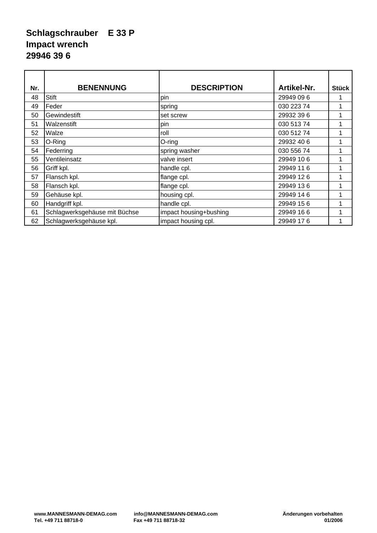#### **Schlagschrauber E 33 P Impact wrench 29946 39 6**

| Nr. | <b>BENENNUNG</b>              | <b>DESCRIPTION</b>     | Artikel-Nr. | <b>Stück</b> |
|-----|-------------------------------|------------------------|-------------|--------------|
| 48  | <b>Stift</b>                  | pin                    | 29949 09 6  |              |
| 49  | Feder                         | spring                 | 030 223 74  |              |
| 50  | Gewindestift                  | set screw              | 29932 39 6  |              |
| 51  | Walzenstift                   | pin                    | 030 513 74  |              |
| 52  | Walze                         | roll                   | 030 512 74  |              |
| 53  | O-Ring                        | $O$ -ring              | 29932 40 6  |              |
| 54  | Federring                     | spring washer          | 030 556 74  |              |
| 55  | Ventileinsatz                 | valve insert           | 29949 10 6  | 1            |
| 56  | Griff kpl.                    | handle cpl.            | 29949 11 6  | 1            |
| 57  | Flansch kpl.                  | flange cpl.            | 29949 12 6  |              |
| 58  | Flansch kpl.                  | flange cpl.            | 29949 136   |              |
| 59  | Gehäuse kpl.                  | housing cpl.           | 29949 14 6  |              |
| 60  | Handgriff kpl.                | handle cpl.            | 29949 156   |              |
| 61  | Schlagwerksgehäuse mit Büchse | impact housing+bushing | 29949 16 6  |              |
| 62  | Schlagwerksgehäuse kpl.       | impact housing cpl.    | 29949 176   |              |